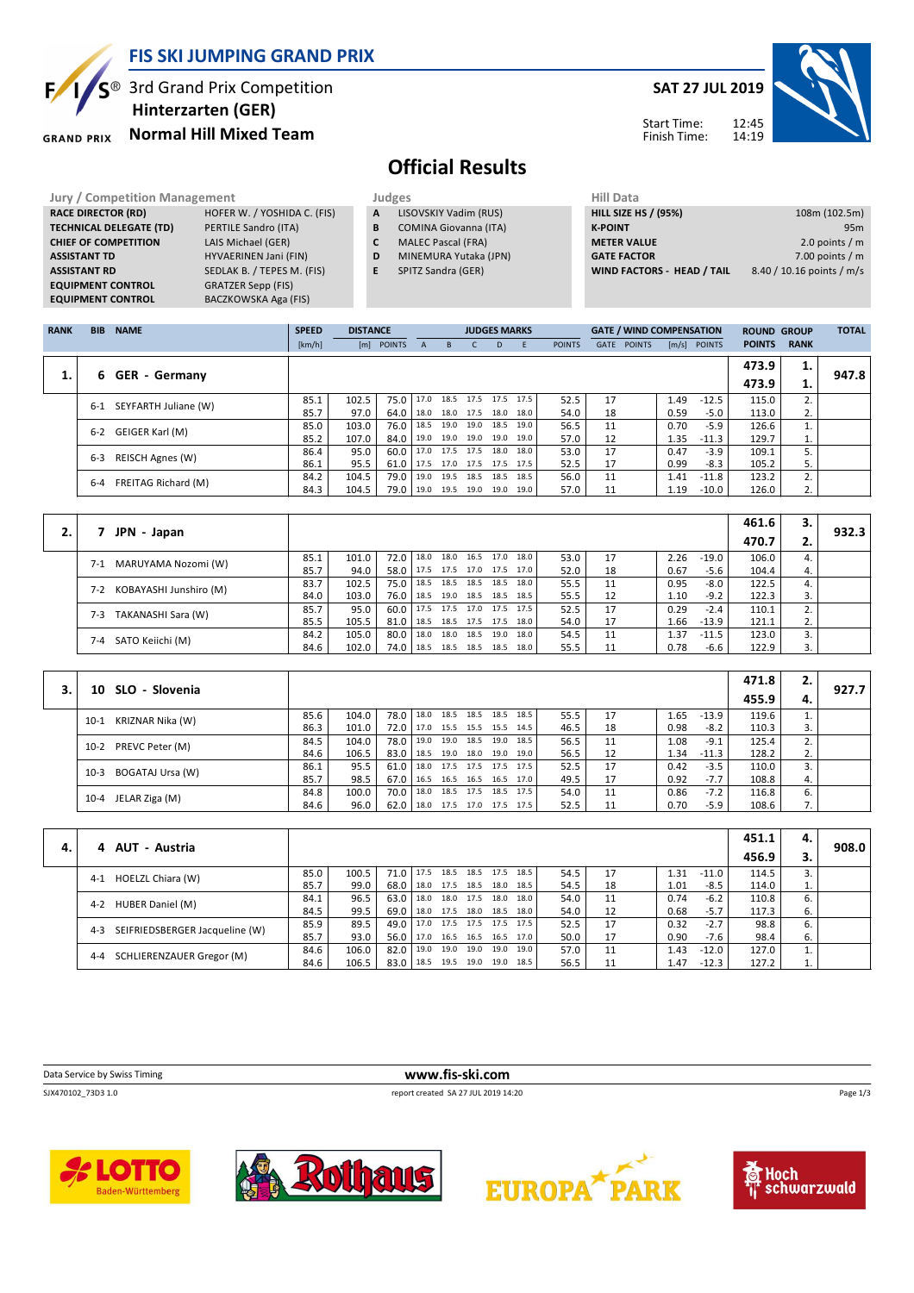

S<sup>®</sup> 3rd Grand Prix Competition

**Normal Hill Mixed Team Hinterzarten (GER)**

**GRAND PRIX** 

Б,

### **SAT 27 JUL 2019**



#### Start Time: Finish Time:

# **Official Results**

| <b>Jury / Competition Management</b> |                             |   | Judges                       | <b>Hill Data</b>            |
|--------------------------------------|-----------------------------|---|------------------------------|-----------------------------|
| <b>RACE DIRECTOR (RD)</b>            | HOFER W. / YOSHIDA C. (FIS) | A | LISOVSKIY Vadim (RUS)        | <b>HILL SIZE HS / (95%)</b> |
| <b>TECHNICAL DELEGATE (TD)</b>       | PERTILE Sandro (ITA)        | B | <b>COMINA Giovanna (ITA)</b> | <b>K-POINT</b>              |
| <b>CHIEF OF COMPETITION</b>          | LAIS Michael (GER)          | C | <b>MALEC Pascal (FRA)</b>    | <b>METER VALUE</b>          |
| <b>ASSISTANT TD</b>                  | HYVAERINEN Jani (FIN)       | D | MINEMURA Yutaka (JPN)        | <b>GATE FACTOR</b>          |
| <b>ASSISTANT RD</b>                  | SEDLAK B. / TEPES M. (FIS)  | E | SPITZ Sandra (GER)           | WIND FACTORS - HEAD / TAIL  |
| <b>EQUIPMENT CONTROL</b>             | <b>GRATZER Sepp (FIS)</b>   |   |                              |                             |
| <b>EQUIPMENT CONTROL</b>             | BACZKOWSKA Aga (FIS)        |   |                              |                             |

| niil Data                  |                           |
|----------------------------|---------------------------|
| HILL SIZE HS / (95%)       | 108m (102.5m)             |
| <b>K-POINT</b>             | 95 <sub>m</sub>           |
| <b>METER VALUE</b>         | 2.0 points $/m$           |
| <b>GATE FACTOR</b>         | 7.00 points $/m$          |
| WIND FACTORS - HEAD / TAIL | 8.40 / 10.16 points / m/s |

| <b>RANK</b> | <b>BIB</b> | <b>NAME</b>             | <b>SPEED</b> | <b>DISTANCE</b> |            |              |                | <b>JUDGES MARKS</b> |      |      |               |             | <b>GATE / WIND COMPENSATION</b> |      |                | <b>ROUND GROUP</b> |             | <b>TOTAL</b> |
|-------------|------------|-------------------------|--------------|-----------------|------------|--------------|----------------|---------------------|------|------|---------------|-------------|---------------------------------|------|----------------|--------------------|-------------|--------------|
|             |            |                         | [km/h]       |                 | [m] POINTS | $\mathsf{A}$ | $\overline{B}$ | C.                  | D.   | E    | <b>POINTS</b> | <b>GATE</b> | <b>POINTS</b>                   |      | $[m/s]$ POINTS | <b>POINTS</b>      | <b>RANK</b> |              |
|             |            |                         |              |                 |            |              |                |                     |      |      |               |             |                                 |      |                | 473.9              | 1.          | 947.8        |
| 1.          | 6.         | <b>GER</b> - Germany    |              |                 |            |              |                |                     |      |      |               |             |                                 |      |                | 473.9              | 1.          |              |
|             | 6-1        | SEYFARTH Juliane (W)    | 85.1         | 102.5           | 75.0       | 17.0         | 18.5           | 17.5                | 17.5 | 17.5 | 52.5          | 17          |                                 | 1.49 | $-12.5$        | 115.0              |             |              |
|             |            |                         | 85.7         | 97.0            | 64.0       | 18.0         |                | 18.0 17.5 18.0      |      | 18.0 | 54.0          | 18          |                                 | 0.59 | $-5.0$         | 113.0              | 2.          |              |
|             | $6 - 2$    | GEIGER Karl (M)         | 85.0         | 103.0           | 76.0       | 18.5         | 19.0           | 19.0                | 18.5 | 19.0 | 56.5          | 11          |                                 | 0.70 | $-5.9$         | 126.6              |             |              |
|             |            |                         | 85.2         | 107.0           | 84.0       | 19.0         | 19.0 19.0      |                     | 19.0 | 19.0 | 57.0          | 12          |                                 | 1.35 | $-11.3$        | 129.7              | 1.          |              |
|             | $6 - 3$    |                         | 86.4         | 95.0            | 60.0       | 17.0         | 17.5 17.5      |                     | 18.0 | 18.0 | 53.0          | 17          |                                 | 0.47 | $-3.9$         | 109.1              |             |              |
|             |            | <b>REISCH Agnes (W)</b> | 86.1         | 95.5            | 61.0       | 17.5         | 17.0 17.5 17.5 |                     |      | 17.5 | 52.5          | 17          |                                 | 0.99 | $-8.3$         | 105.2              | 5.          |              |
|             | $6 - 4$    | FREITAG Richard (M)     | 84.2         | 104.5           | 79.0       | 19.0         | 19.5           | 18.5                | 18.5 | 18.5 | 56.0          | 11          |                                 | 1.41 | $-11.8$        | 123.2              | 2.          |              |
|             |            |                         | 84.3         | 104.5           | 79.0       | 19.0         | 19.5 19.0      |                     | 19.0 | 19.0 | 57.0          | 11          |                                 | 1.19 | $-10.0$        | 126.0              | 2.          |              |

|    |                               |      |       |        |      |      |                |                |      |      |    |      |         | 461.6 | з. |       |
|----|-------------------------------|------|-------|--------|------|------|----------------|----------------|------|------|----|------|---------|-------|----|-------|
| 2. | JPN - Japan                   |      |       |        |      |      |                |                |      |      |    |      |         | 470.7 | z. | 932.3 |
|    | MARUYAMA Nozomi (W)<br>$7-1$  | 85.1 | 101.0 | 72.0   | 18.0 |      | 18.0 16.5 17.0 |                | 18.0 | 53.0 | 17 | 2.26 | $-19.0$ | 106.0 |    |       |
|    |                               | 85.7 | 94.0  | 58.0   | 17.5 |      | 17.5 17.0 17.5 |                | 17.0 | 52.0 | 18 | 0.67 | -5.6    | 104.4 | 4. |       |
|    |                               | 83.7 | 102.5 | 75.0   | 18.5 |      | 18.5 18.5 18.5 |                | 18.0 | 55.5 | 11 | 0.95 | $-8.0$  | 122.5 | 4. |       |
|    | KOBAYASHI Junshiro (M)<br>7-2 | 84.0 | 103.0 | 76.0   | 18.5 |      | 19.0 18.5 18.5 |                | 18.5 | 55.5 | 12 | 1.10 | $-9.2$  | 122.3 | 3. |       |
|    | TAKANASHI Sara (W)<br>$7-3$   | 85.7 | 95.0  | 60.0   | 17.5 |      |                | 17.5 17.0 17.5 | 17.5 | 52.5 | 17 | 0.29 | $-2.4$  | 110.1 |    |       |
|    |                               | 85.5 | 105.5 | 81.0 l | 18.5 |      | 18.5 17.5 17.5 |                | 18.0 | 54.0 | 17 | 1.66 | $-13.9$ | 121.1 | 2. |       |
|    | $7 - 4$                       | 84.2 | 105.0 | 80.0   | 18.0 | 18.0 | 18.5 19.0      |                | 18.0 | 54.5 | 11 | .37  | $-11.5$ | 123.0 |    |       |
|    | SATO Keiichi (M)              | 84.6 | 102.0 | 74.0   | 18.5 |      | 18.5 18.5 18.5 |                | 18.0 | 55.5 |    | 0.78 | -6.6    | 122.9 |    |       |

|                            |      |       |        |                          |                          |                          |      |    |      |         | 471.8 | 2. |       |
|----------------------------|------|-------|--------|--------------------------|--------------------------|--------------------------|------|----|------|---------|-------|----|-------|
| SLO - Slovenia<br>10       |      |       |        |                          |                          |                          |      |    |      |         | 455.9 | 4. | 927.7 |
| KRIZNAR Nika (W)<br>$10-1$ | 85.6 | 104.0 | 78.0   | 18.0                     | 18.5 18.5 18.5 18.5      |                          | 55.5 | 17 | 1.65 | $-13.9$ | 119.6 |    |       |
|                            | 86.3 | 101.0 | 72.0 l | 17.0 15.5 15.5 15.5 14.5 |                          |                          | 46.5 | 18 | 0.98 | $-8.2$  | 110.3 | 3. |       |
| 10-2 PREVC Peter (M)       | 84.5 | 104.0 | 78.0 l | 19.0                     | 19.0 18.5 19.0           | 18.5                     | 56.5 | 11 | 1.08 | $-9.1$  | 125.4 | 2. |       |
|                            | 84.6 | 106.5 | 83.0   |                          |                          | 18.5 19.0 18.0 19.0 19.0 | 56.5 | 12 | 1.34 | -11.3   | 128.2 | 2. |       |
| BOGATAJ Ursa (W)<br>$10-3$ | 86.1 | 95.5  | 61.0   |                          | 18.0 17.5 17.5 17.5 17.5 |                          | 52.5 | 17 | 0.42 | $-3.5$  | 110.0 | 3. |       |
|                            | 85.7 | 98.5  | 67.0   |                          | 16.5 16.5 16.5 16.5 17.0 |                          | 49.5 | 17 | 0.92 | $-7.7$  | 108.8 | 4. |       |
|                            | 84.8 | 100.0 | 70.0   | 18.0                     | 18.5 17.5 18.5 17.5      |                          | 54.0 | 11 | 0.86 | $-7.2$  | 116.8 | 6. |       |
| 10-4 JELAR Ziga (M)        | 84.6 | 96.0  | 62.0   |                          | 18.0 17.5 17.0 17.5 17.5 |                          | 52.5 | 11 | 0.70 | $-5.9$  | 108.6 | 7. |       |

|    |                                           |      |       |             |      |      |                     |      |      |      |    |      |         | 451.1 | 4. |       |
|----|-------------------------------------------|------|-------|-------------|------|------|---------------------|------|------|------|----|------|---------|-------|----|-------|
| 4. | 4 AUT - Austria                           |      |       |             |      |      |                     |      |      |      |    |      |         | 456.9 |    | 908.0 |
|    | HOELZL Chiara (W)<br>$4-1$                | 85.0 | 100.5 | 71.0 17.5   |      | 18.5 | 18.5 17.5           |      | 18.5 | 54.5 | 17 | l.31 | $-11.0$ | 114.5 | 3. |       |
|    |                                           | 85.7 | 99.0  | 68.0   18.0 |      |      | 17.5 18.5 18.0      |      | 18.5 | 54.5 | 18 | 1.01 | -8.5    | 114.0 | 1. |       |
|    | HUBER Daniel (M)<br>$4 - 2$               | 84.1 | 96.5  | 63.0        | 18.0 |      | 18.0 17.5 18.0      |      | 18.0 | 54.0 | 11 | 0.74 | $-6.2$  | 110.8 | 6. |       |
|    |                                           | 84.5 | 99.5  | 69.0        | 18.0 |      | 17.5 18.0 18.5      |      | 18.0 | 54.0 | 12 | 0.68 | $-5.7$  | 117.3 | 6. |       |
|    | SEIFRIEDSBERGER Jacqueline (W)<br>$4 - 3$ | 85.9 | 89.5  | $49.0$ 17.0 |      |      | 17.5 17.5 17.5 17.5 |      |      | 52.5 | 17 | 0.32 | $-2.7$  | 98.8  | 6. |       |
|    |                                           | 85.7 | 93.0  | 56.0 l      | 17.0 |      | 16.5 16.5 16.5 17.0 |      |      | 50.0 | 17 | 0.90 | -7.6    | 98.4  | 6. |       |
|    | SCHLIERENZAUER Gregor (M)<br>$4 - 4$      | 84.6 | 106.0 | 82.0        | 19.0 | 19.0 | 19.0                | 19.0 | 19.0 | 57.0 | 11 | 1.43 | $-12.0$ | 127.0 |    |       |
|    |                                           | 84.6 | 106.5 | 83.0        | 18.5 |      | 19.5 19.0 19.0      |      | 18.5 | 56.5 |    | L.47 | $-12.3$ | 127.2 |    |       |

**Data Service by Swiss Timing WWW.fis-ski.com** 

SJX470102\_73D3 1.0 report created SA 27 JUL 2019 14:20









Page 1/3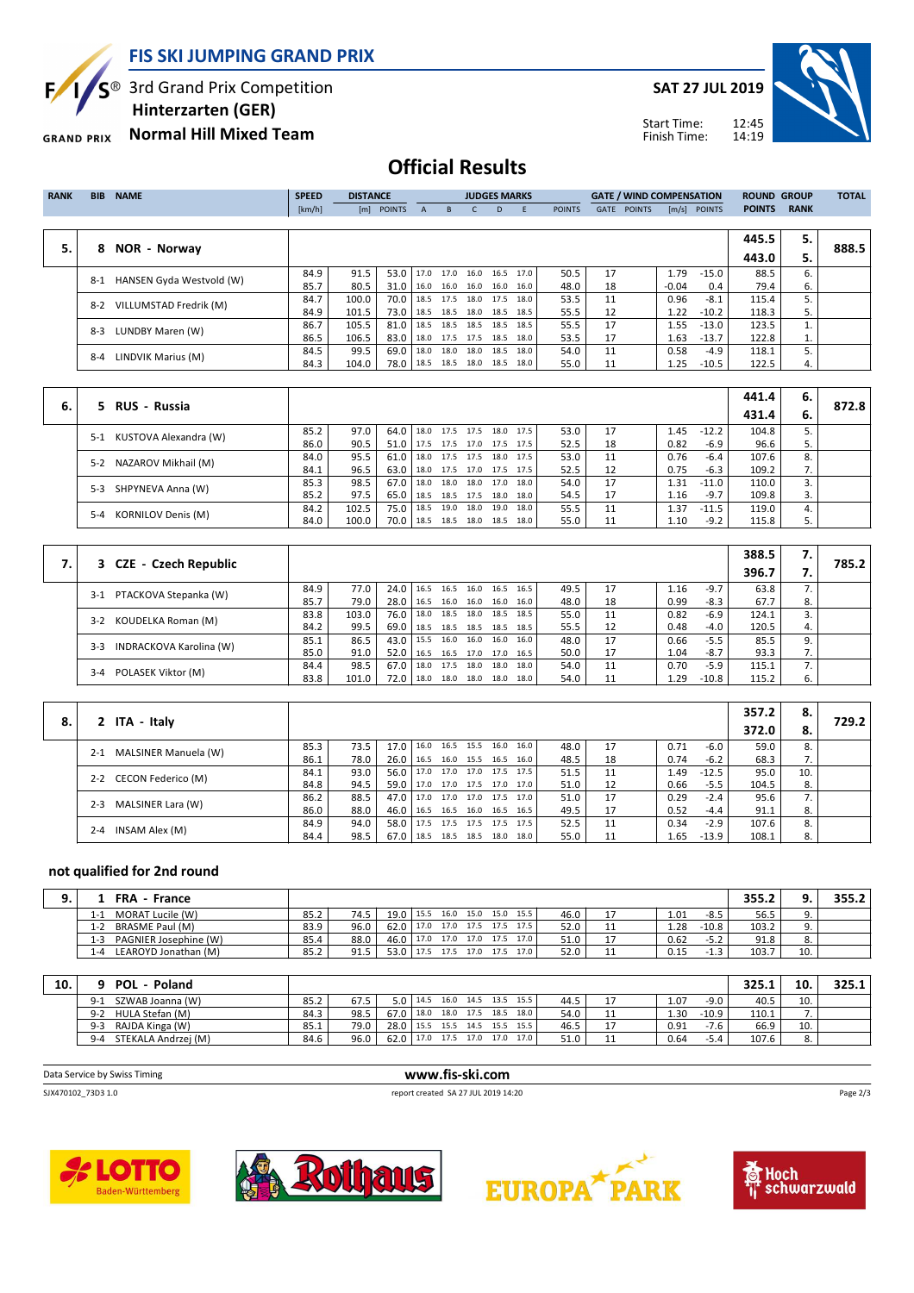Б,

S<sup>®</sup> 3rd Grand Prix Competition

 **Hinterzarten (GER)**

**Normal Hill Mixed Team GRAND PRIX** 

**SAT 27 JUL 2019**

Start Time: Finish Time:



| <b>RANK</b> | <b>BIB</b> | <b>NAME</b>              | <b>SPEED</b> | <b>DISTANCE</b> |               |           |           |                          | <b>JUDGES MARKS</b> |      |               |             | <b>GATE / WIND COMPENSATION</b> |         |                | <b>ROUND GROUP</b> |             | <b>TOTAL</b> |
|-------------|------------|--------------------------|--------------|-----------------|---------------|-----------|-----------|--------------------------|---------------------|------|---------------|-------------|---------------------------------|---------|----------------|--------------------|-------------|--------------|
|             |            |                          | [km/h]       | [m]             | <b>POINTS</b> | A         | B.        |                          | D.                  | E    | <b>POINTS</b> | <b>GATE</b> | <b>POINTS</b>                   |         | $[m/s]$ POINTS | <b>POINTS</b>      | <b>RANK</b> |              |
|             |            |                          |              |                 |               |           |           |                          |                     |      |               |             |                                 |         |                |                    |             |              |
| 5.          |            |                          |              |                 |               |           |           |                          |                     |      |               |             |                                 |         |                | 445.5              | 5.          | 888.5        |
|             | 8          | <b>NOR - Norway</b>      |              |                 |               |           |           |                          |                     |      |               |             |                                 |         |                | 443.0              | 5.          |              |
|             | $8-1$      | HANSEN Gyda Westvold (W) | 84.9         | 91.5            | 53.0          | 17.0 17.0 |           | 16.0                     | 16.5                | 17.0 | 50.5          | 17          |                                 | 1.79    | $-15.0$        | 88.5               | 6.          |              |
|             |            |                          | 85.7         | 80.5            | 31.0 l        |           |           | 16.0 16.0 16.0 16.0 16.0 |                     |      | 48.0          | 18          |                                 | $-0.04$ | 0.4            | 79.4               | 6.          |              |
|             | $8-2$      | VILLUMSTAD Fredrik (M)   | 84.7         | 100.0           | 70.0          | 18.5      | 17.5      | 18.0                     | 17.5                | 18.0 | 53.5          | 11          |                                 | 0.96    | $-8.1$         | 115.4              |             |              |
|             |            |                          | 84.9         | 101.5           | 73.0          | 18.5      |           | 18.5 18.0 18.5           |                     | 18.5 | 55.5          | 12          |                                 | 1.22    | $-10.2$        | 118.3              | 5.          |              |
|             | $8-3$      | LUNDBY Maren (W)         | 86.7         | 105.5           | 81.0          | 18.5      |           | 18.5 18.5 18.5 18.5      |                     |      | 55.5          | 17          |                                 | 1.55    | $-13.0$        | 123.5              |             |              |
|             |            |                          | 86.5         | 106.5           | 83.0          | 18.0      | 17.5 17.5 |                          | 18.5                | 18.0 | 53.5          | 17          |                                 | 1.63    | $-13.7$        | 122.8              | 1.          |              |
|             | $8 - 4$    | LINDVIK Marius (M)       | 84.5         | 99.5            | 69.0          | 18.0      | 18.0      | 18.0 18.5                |                     | 18.0 | 54.0          | 11          |                                 | 0.58    | -4.9           | 118.1              |             |              |
|             |            |                          | 84.3         | 104.0           | 78.0          | 18.5      |           | 18.5 18.0 18.5 18.0      |                     |      | 55.0          | 11          |                                 | 1.25    | $-10.5$        | 122.5              | 4.          |              |

|    |                                      |      |       |        |      |      |      |                     |      |      |    |      |         | 441.4 | 6. |       |
|----|--------------------------------------|------|-------|--------|------|------|------|---------------------|------|------|----|------|---------|-------|----|-------|
| 6. | 5 RUS - Russia                       |      |       |        |      |      |      |                     |      |      |    |      |         | 431.4 | 6. | 872.8 |
|    | KUSTOVA Alexandra (W)<br>$5-1$       | 85.2 | 97.0  | 64.0   | 18.0 |      |      | 17.5 17.5 18.0 17.5 |      | 53.0 | 17 | 1.45 | $-12.2$ | 104.8 |    |       |
|    |                                      | 86.0 | 90.5  | 51.0   | 17.5 |      |      | 17.5 17.0 17.5 17.5 |      | 52.5 | 18 | 0.82 | $-6.9$  | 96.6  |    |       |
|    | NAZAROV Mikhail (M)<br>$5-2$         | 84.0 | 95.5  | 61.0   | 18.0 |      |      | 17.5 17.5 18.0 17.5 |      | 53.0 | 11 | 0.76 | $-6.4$  | 107.6 | 8. |       |
|    |                                      | 84.1 | 96.5  | 63.0   | 18.0 |      |      | 17.5 17.0 17.5 17.5 |      | 52.5 | 12 | 0.75 | $-6.3$  | 109.2 |    |       |
|    | SHPYNEVA Anna (W)<br>$5-3$           | 85.3 | 98.5  | 67.0   | 18.0 | 18.0 |      | 18.0 17.0 18.0      |      | 54.0 | 17 | 1.31 | $-11.0$ | 110.0 |    |       |
|    |                                      | 85.2 | 97.5  | 65.0 l | 18.5 |      |      | 18.5 17.5 18.0      | 18.0 | 54.5 | 17 | 1.16 | $-9.7$  | 109.8 |    |       |
|    | <b>KORNILOV Denis (M)</b><br>$5 - 4$ | 84.2 | 102.5 | 75.0   | 18.5 | 19.0 | 18.0 | 19.0                | 18.0 | 55.5 | 11 | 1.37 | $-11.5$ | 119.0 | 4. |       |
|    |                                      | 84.0 | 100.0 | 70.0   | 18.5 | 18.5 |      | 18.0 18.5 18.0      |      | 55.0 | 11 | 1.10 | $-9.2$  | 115.8 |    |       |

|                                  |      |       |        |      |      |           |                |                     |      |    |      |         | 388.5 | 7.          | 785.2 |
|----------------------------------|------|-------|--------|------|------|-----------|----------------|---------------------|------|----|------|---------|-------|-------------|-------|
| 3 CZE - Czech Republic           |      |       |        |      |      |           |                |                     |      |    |      |         | 396.7 |             |       |
| PTACKOVA Stepanka (W)<br>$3-1$   | 84.9 | 77.0  | 24.0   | 16.5 | 16.5 | 16.0      | 16.5           | 16.5                | 49.5 | 17 | 1.16 | $-9.7$  | 63.8  |             |       |
|                                  | 85.7 | 79.0  | 28.0   | 16.5 |      |           |                | 16.0 16.0 16.0 16.0 | 48.0 | 18 | 0.99 | $-8.3$  | 67.7  | 8.          |       |
| KOUDELKA Roman (M)<br>$3 - 2$    | 83.8 | 103.0 | 76.0   | 18.0 | 18.5 |           | 18.0 18.5      | 18.5                | 55.0 | 11 | 0.82 | -6.9    | 124.1 |             |       |
|                                  | 84.2 | 99.5  | 69.0   | 18.5 |      |           | 18.5 18.5 18.5 | 18.5                | 55.5 | 12 | 0.48 | $-4.0$  | 120.5 | 4.          |       |
| INDRACKOVA Karolina (W)<br>$3-3$ | 85.1 | 86.5  | 43.0 l | 15.5 |      |           |                | 16.0 16.0 16.0 16.0 | 48.0 | 17 | 0.66 | $-5.5$  | 85.5  | 9.          |       |
|                                  | 85.0 | 91.0  | 52.0   | 16.5 |      |           | 16.5 17.0 17.0 | 16.5                | 50.0 | 17 | 1.04 | $-8.7$  | 93.3  | $\lambda$ . |       |
|                                  | 84.4 | 98.5  | 67.0   | 18.0 | 17.5 | 18.0 18.0 |                | 18.0                | 54.0 | 11 | 0.70 | $-5.9$  | 115.1 |             |       |
| POLASEK Viktor (M)<br>$3 - 4$    | 83.8 | 101.0 | 72.0   | 18.0 |      | 18.0 18.0 | 18.0           | 18.0                | 54.0 |    | 1.29 | $-10.8$ | 115.2 | 6.          |       |

|    |                                 |      |      |                                 |  |                     |      |      |    |      |         | 357.2 | 8.  |       |
|----|---------------------------------|------|------|---------------------------------|--|---------------------|------|------|----|------|---------|-------|-----|-------|
| 8. | 2 ITA - Italy                   |      |      |                                 |  |                     |      |      |    |      |         | 372.0 | 8.  | 729.2 |
|    | MALSINER Manuela (W)<br>$2 - 1$ | 85.3 | 73.5 | $17.0$ 16.0                     |  | 16.5 15.5 16.0 16.0 |      | 48.0 | 17 | 0.71 | $-6.0$  | 59.0  | 8.  |       |
|    |                                 | 86.1 | 78.0 | $26.0$ 16.5                     |  | 16.0 15.5 16.5      | 16.0 | 48.5 | 18 | 0.74 | $-6.2$  | 68.3  | 7.  |       |
|    | 2-2 CECON Federico (M)          | 84.1 | 93.0 | 56.0   17.0 17.0 17.0 17.5 17.5 |  |                     |      | 51.5 | 11 | 1.49 | $-12.5$ | 95.0  | 10. |       |
|    |                                 | 84.8 | 94.5 | 59.0   17.0 17.0 17.5 17.0 17.0 |  |                     |      | 51.0 | 12 | 0.66 | $-5.5$  | 104.5 | 8.  |       |
|    | MALSINER Lara (W)<br>$2 - 3$    | 86.2 | 88.5 | 47.0 17.0 17.0 17.0 17.5 17.0   |  |                     |      | 51.0 | 17 | 0.29 | $-2.4$  | 95.6  |     |       |
|    |                                 | 86.0 | 88.0 | 46.0   16.5 16.5 16.0 16.5 16.5 |  |                     |      | 49.5 | 17 | 0.52 | $-4.4$  | 91.1  | 8.  |       |
|    | INSAM Alex (M)<br>$2 - 4$       | 84.9 | 94.0 | 58.0 17.5                       |  | 17.5 17.5 17.5 17.5 |      | 52.5 | 11 | 0.34 | $-2.9$  | 107.6 | 8.  |       |
|    |                                 | 84.4 | 98.5 | $67.0$ 18.5                     |  | 18.5 18.5 18.0 18.0 |      | 55.0 | 11 | 1.65 | $-13.9$ | 108.1 | 8.  |       |

#### **not qualified for 2nd round**

|      | FRA - France          |      |      |                     |      |                       |      |       |      |    |      |         | 355.2 |     | 355.2 |
|------|-----------------------|------|------|---------------------|------|-----------------------|------|-------|------|----|------|---------|-------|-----|-------|
| 1-1  | MORAT Lucile (W)      | 85.2 | 74.5 | 19.0 15.5           |      | $16.0$ 15.0 15.0 15.5 |      |       | 46.0 |    | 1.01 | $-8.5$  | 56.5  |     |       |
| 1-2  | BRASME Paul (M)       | 83.9 | 96.0 | 62.0                |      | 17.0 17.0 17.5 17.5   |      | 17.5  | 52.0 | 11 | 1.28 | $-10.8$ | 103.2 |     |       |
| 1-3  | PAGNIER Josephine (W) | 85.4 | 88.0 | 46.0 17.0 17.0 17.0 |      |                       | 17.5 | 17.0' | 51.0 |    | 0.62 | $-5.2$  | 91.8  |     |       |
| ∣ -⊿ | LEAROYD Jonathan (M)  | 85.2 | 91.5 | 53.0                | 17.5 | 17.5 17.0             | 17.5 | 17.0' | 52.0 |    | 0.15 |         | 103.7 | 10. |       |

| 10. | <b>POL</b><br>Poland           |      |      |      |      |           |           |                     |      |      |    |      |         | 325.1 | 10.      | 325.1 |
|-----|--------------------------------|------|------|------|------|-----------|-----------|---------------------|------|------|----|------|---------|-------|----------|-------|
|     | SZWAB Joanna (W)<br>$9-1$      | 85.2 | 67.5 | 5.0  | 14.5 |           |           | 16.0 14.5 13.5 15.5 |      | 44.5 |    | 1.07 | $-9.0$  | 40.5  | 10.      |       |
|     | HULA Stefan (M)<br>$9-2$       | 84.3 | 98.5 | 67.0 | 18.0 | 18.0 17.5 |           | 18.5                | 18.0 | 54.0 | ᆠᆠ | 1.30 | $-10.9$ | 110.1 |          |       |
|     | RAJDA Kinga (W)<br>$9 - 3$     | 85.1 | 79.0 | 28.0 | 15.5 | 15.5      | 14.5      | 15.5                | 15.5 | 46.5 |    | 0.91 | $-7.6$  | 66.9  | 10.      |       |
|     | STEKALA Andrzej (M)<br>$9 - 4$ | 84.6 | 96.0 | 62.0 | 17.0 | 17.5      | 17.0 17.0 |                     | 17.0 | 51.0 |    | 0.64 | $-5.4$  | 107.6 | $\Omega$ |       |

| Data Service by Swiss Timing | www.fis-ski.com                     |          |
|------------------------------|-------------------------------------|----------|
| SJX470102 73D3 1.0           | report created SA 27 JUL 2019 14:20 | Page 2/3 |
|                              |                                     |          |